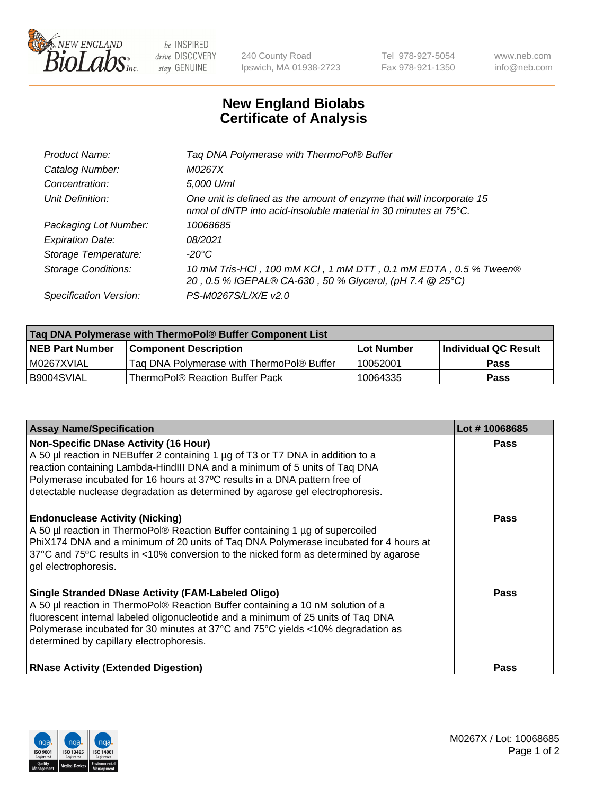

 $be$  INSPIRED drive DISCOVERY stay GENUINE

240 County Road Ipswich, MA 01938-2723 Tel 978-927-5054 Fax 978-921-1350 www.neb.com info@neb.com

## **New England Biolabs Certificate of Analysis**

| Tag DNA Polymerase with ThermoPol® Buffer                                                                                                |
|------------------------------------------------------------------------------------------------------------------------------------------|
| M0267X                                                                                                                                   |
| 5,000 U/ml                                                                                                                               |
| One unit is defined as the amount of enzyme that will incorporate 15<br>nmol of dNTP into acid-insoluble material in 30 minutes at 75°C. |
| 10068685                                                                                                                                 |
| 08/2021                                                                                                                                  |
| $-20^{\circ}$ C                                                                                                                          |
| 10 mM Tris-HCl, 100 mM KCl, 1 mM DTT, 0.1 mM EDTA, 0.5 % Tween®<br>20, 0.5 % IGEPAL® CA-630, 50 % Glycerol, (pH 7.4 @ 25°C)              |
| PS-M0267S/L/X/E v2.0                                                                                                                     |
|                                                                                                                                          |

| Tag DNA Polymerase with ThermoPol® Buffer Component List |                                           |            |                      |  |  |
|----------------------------------------------------------|-------------------------------------------|------------|----------------------|--|--|
| <b>NEB Part Number</b>                                   | <b>Component Description</b>              | Lot Number | Individual QC Result |  |  |
| IM0267XVIAL                                              | Tag DNA Polymerase with ThermoPol® Buffer | 10052001   | Pass                 |  |  |
| I B9004SVIAL                                             | ThermoPol® Reaction Buffer Pack           | 10064335   | Pass                 |  |  |

| <b>Assay Name/Specification</b>                                                                                                                                                                                                                                                                                                                                              | Lot #10068685 |
|------------------------------------------------------------------------------------------------------------------------------------------------------------------------------------------------------------------------------------------------------------------------------------------------------------------------------------------------------------------------------|---------------|
| <b>Non-Specific DNase Activity (16 Hour)</b><br>A 50 µl reaction in NEBuffer 2 containing 1 µg of T3 or T7 DNA in addition to a<br>reaction containing Lambda-HindIII DNA and a minimum of 5 units of Taq DNA<br>Polymerase incubated for 16 hours at 37°C results in a DNA pattern free of<br>detectable nuclease degradation as determined by agarose gel electrophoresis. | <b>Pass</b>   |
| <b>Endonuclease Activity (Nicking)</b><br>A 50 µl reaction in ThermoPol® Reaction Buffer containing 1 µg of supercoiled<br>PhiX174 DNA and a minimum of 20 units of Tag DNA Polymerase incubated for 4 hours at<br>37°C and 75°C results in <10% conversion to the nicked form as determined by agarose<br>gel electrophoresis.                                              | Pass          |
| <b>Single Stranded DNase Activity (FAM-Labeled Oligo)</b><br>A 50 µl reaction in ThermoPol® Reaction Buffer containing a 10 nM solution of a<br>fluorescent internal labeled oligonucleotide and a minimum of 25 units of Taq DNA<br>Polymerase incubated for 30 minutes at 37°C and 75°C yields <10% degradation as<br>determined by capillary electrophoresis.             | Pass          |
| <b>RNase Activity (Extended Digestion)</b>                                                                                                                                                                                                                                                                                                                                   | Pass          |